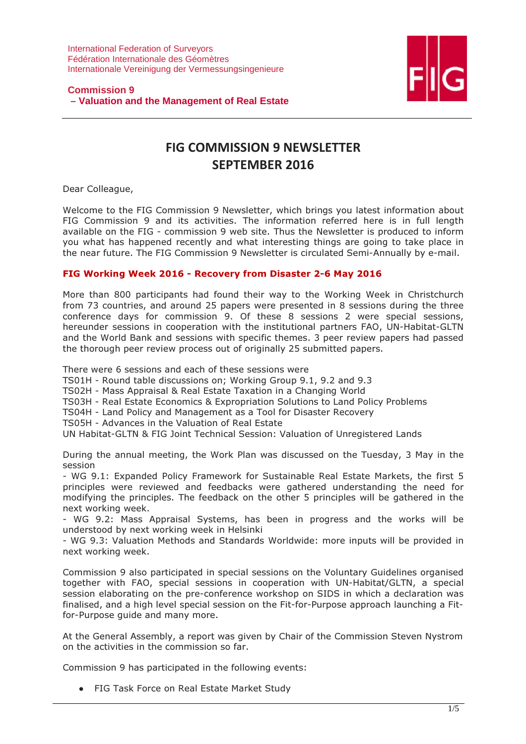

# **Commission 9 – Valuation and the Management of Real Estate**

# FIG COMMISSION 9 NEWSLETTER SEPTEMBER 2016

Dear Colleague,

Welcome to the FIG Commission 9 Newsletter, which brings you latest information about FIG Commission 9 and its activities. The information referred here is in full length available on the FIG - commission 9 web site. Thus the Newsletter is produced to inform you what has happened recently and what interesting things are going to take place in the near future. The FIG Commission 9 Newsletter is circulated Semi-Annually by e-mail.

# FIG Working Week 2016 - Recovery from Disaster 2-6 May 2016

More than 800 participants had found their way to the Working Week in Christchurch from 73 countries, and around 25 papers were presented in 8 sessions during the three conference days for commission 9. Of these 8 sessions 2 were special sessions, hereunder sessions in cooperation with the institutional partners FAO, UN-Habitat-GLTN and the World Bank and sessions with specific themes. 3 peer review papers had passed the thorough peer review process out of originally 25 submitted papers.

There were 6 sessions and each of these sessions were

TS01H - Round table discussions on; Working Group 9.1, 9.2 and 9.3

TS02H - Mass Appraisal & Real Estate Taxation in a Changing World

TS03H - Real Estate Economics & Expropriation Solutions to Land Policy Problems

TS04H - Land Policy and Management as a Tool for Disaster Recovery

TS05H - Advances in the Valuation of Real Estate

UN Habitat-GLTN & FIG Joint Technical Session: Valuation of Unregistered Lands

During the annual meeting, the Work Plan was discussed on the Tuesday, 3 May in the session

- WG 9.1: Expanded Policy Framework for Sustainable Real Estate Markets, the first 5 principles were reviewed and feedbacks were gathered understanding the need for modifying the principles. The feedback on the other 5 principles will be gathered in the next working week.

- WG 9.2: Mass Appraisal Systems, has been in progress and the works will be understood by next working week in Helsinki

- WG 9.3: Valuation Methods and Standards Worldwide: more inputs will be provided in next working week.

Commission 9 also participated in special sessions on the Voluntary Guidelines organised together with FAO, special sessions in cooperation with UN-Habitat/GLTN, a special session elaborating on the pre-conference workshop on SIDS in which a declaration was finalised, and a high level special session on the Fit-for-Purpose approach launching a Fitfor-Purpose guide and many more.

At the General Assembly, a report was given by Chair of the Commission Steven Nystrom on the activities in the commission so far.

Commission 9 has participated in the following events:

● FIG Task Force on Real Estate Market Study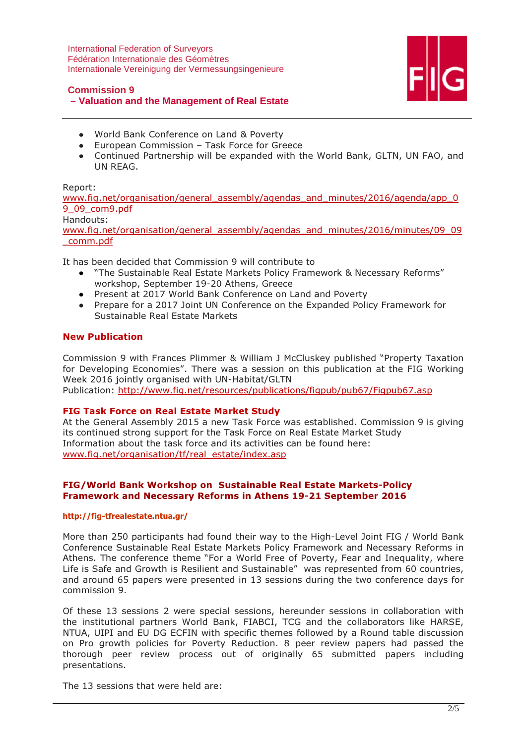

#### **Commission 9**

# **– Valuation and the Management of Real Estate**

- World Bank Conference on Land & Poverty
- European Commission Task Force for Greece
- Continued Partnership will be expanded with the World Bank, GLTN, UN FAO, and UN REAG.

#### Report:

www.fig.net/organisation/general\_assembly/agendas\_and\_minutes/2016/agenda/app\_0 9\_09\_com9.pdf

#### Handouts:

www.fig.net/organisation/general\_assembly/agendas\_and\_minutes/2016/minutes/09\_09 \_comm.pdf

It has been decided that Commission 9 will contribute to

- "The Sustainable Real Estate Markets Policy Framework & Necessary Reforms" workshop, September 19-20 Athens, Greece
- Present at 2017 World Bank Conference on Land and Poverty
- Prepare for a 2017 Joint UN Conference on the Expanded Policy Framework for Sustainable Real Estate Markets

## New Publication

Commission 9 with Frances Plimmer & William J McCluskey published "Property Taxation for Developing Economies". There was a session on this publication at the FIG Working Week 2016 jointly organised with UN-Habitat/GLTN Publication: http://www.fig.net/resources/publications/figpub/pub67/Figpub67.asp

#### FIG Task Force on Real Estate Market Study

At the General Assembly 2015 a new Task Force was established. Commission 9 is giving its continued strong support for the Task Force on Real Estate Market Study Information about the task force and its activities can be found here: www.fig.net/organisation/tf/real\_estate/index.asp

## FIG/World Bank Workshop on Sustainable Real Estate Markets-Policy Framework and Necessary Reforms in Athens 19-21 September 2016

#### http://fig-tfrealestate.ntua.gr/

More than 250 participants had found their way to the High-Level Joint FIG / World Bank Conference Sustainable Real Estate Markets Policy Framework and Necessary Reforms in Athens. The conference theme "For a World Free of Poverty, Fear and Inequality, where Life is Safe and Growth is Resilient and Sustainable" was represented from 60 countries, and around 65 papers were presented in 13 sessions during the two conference days for commission 9.

Of these 13 sessions 2 were special sessions, hereunder sessions in collaboration with the institutional partners World Bank, FIABCI, TCG and the collaborators like HARSE, NTUA, UIPI and EU DG ECFIN with specific themes followed by a Round table discussion on Pro growth policies for Poverty Reduction. 8 peer review papers had passed the thorough peer review process out of originally 65 submitted papers including presentations.

The 13 sessions that were held are: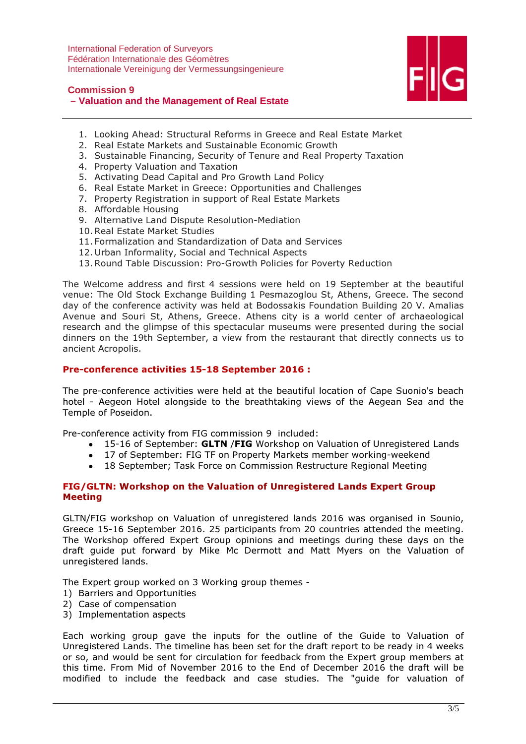

#### **Commission 9**

# **– Valuation and the Management of Real Estate**

- 1. Looking Ahead: Structural Reforms in Greece and Real Estate Market
- 2. Real Estate Markets and Sustainable Economic Growth
- 3. Sustainable Financing, Security of Tenure and Real Property Taxation
- 4. Property Valuation and Taxation
- 5. Activating Dead Capital and Pro Growth Land Policy
- 6. Real Estate Market in Greece: Opportunities and Challenges
- 7. Property Registration in support of Real Estate Markets
- 8. Affordable Housing
- 9. Alternative Land Dispute Resolution-Mediation
- 10.Real Estate Market Studies
- 11. Formalization and Standardization of Data and Services
- 12. Urban Informality, Social and Technical Aspects
- 13.Round Table Discussion: Pro-Growth Policies for Poverty Reduction

The Welcome address and first 4 sessions were held on 19 September at the beautiful venue: The Old Stock Exchange Building 1 Pesmazoglou St, Athens, Greece. The second day of the conference activity was held at Bodossakis Foundation Building 20 V. Amalias Avenue and Souri St, Athens, Greece. Athens city is a world center of archaeological research and the glimpse of this spectacular museums were presented during the social dinners on the 19th September, a view from the restaurant that directly connects us to ancient Acropolis.

#### Pre-conference activities 15-18 September 2016 :

The pre-conference activities were held at the beautiful location of Cape Suonio's beach hotel - Aegeon Hotel alongside to the breathtaking views of the Aegean Sea and the Temple of Poseidon.

Pre-conference activity from FIG commission 9 included:

- 15-16 of September: **GLTN /FIG** Workshop on Valuation of Unregistered Lands
- 17 of September: FIG TF on Property Markets member working-weekend
- 18 September; Task Force on Commission Restructure Regional Meeting

#### FIG/GLTN: Workshop on the Valuation of Unregistered Lands Expert Group Meeting

GLTN/FIG workshop on Valuation of unregistered lands 2016 was organised in Sounio, Greece 15-16 September 2016. 25 participants from 20 countries attended the meeting. The Workshop offered Expert Group opinions and meetings during these days on the draft guide put forward by Mike Mc Dermott and Matt Myers on the Valuation of unregistered lands.

The Expert group worked on 3 Working group themes -

- 1) Barriers and Opportunities
- 2) Case of compensation
- 3) Implementation aspects

Each working group gave the inputs for the outline of the Guide to Valuation of Unregistered Lands. The timeline has been set for the draft report to be ready in 4 weeks or so, and would be sent for circulation for feedback from the Expert group members at this time. From Mid of November 2016 to the End of December 2016 the draft will be modified to include the feedback and case studies. The "guide for valuation of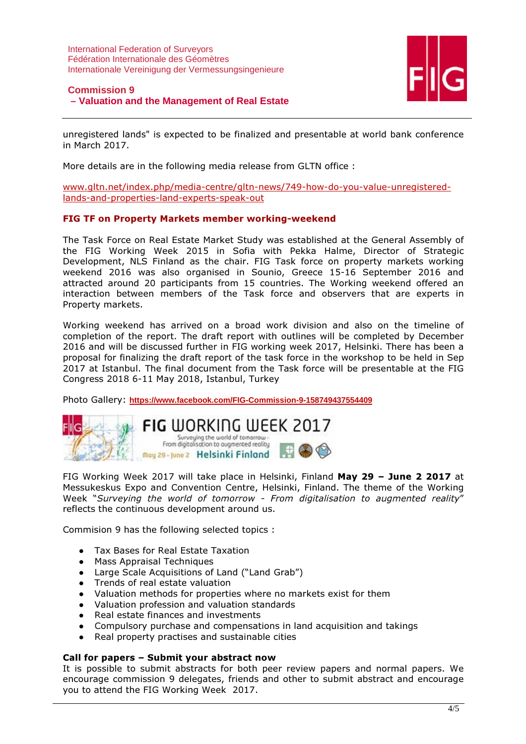

# **Commission 9**

# **– Valuation and the Management of Real Estate**

unregistered lands" is expected to be finalized and presentable at world bank conference in March 2017.

More details are in the following media release from GLTN office :

www.gltn.net/index.php/media-centre/gltn-news/749-how-do-you-value-unregisteredlands-and-properties-land-experts-speak-out

#### FIG TF on Property Markets member working-weekend

The Task Force on Real Estate Market Study was established at the General Assembly of the FIG Working Week 2015 in Sofia with Pekka Halme, Director of Strategic Development, NLS Finland as the chair. FIG Task force on property markets working weekend 2016 was also organised in Sounio, Greece 15-16 September 2016 and attracted around 20 participants from 15 countries. The Working weekend offered an interaction between members of the Task force and observers that are experts in Property markets.

Working weekend has arrived on a broad work division and also on the timeline of completion of the report. The draft report with outlines will be completed by December 2016 and will be discussed further in FIG working week 2017, Helsinki. There has been a proposal for finalizing the draft report of the task force in the workshop to be held in Sep 2017 at Istanbul. The final document from the Task force will be presentable at the FIG Congress 2018 6-11 May 2018, Istanbul, Turkey

Photo Gallery: **https://www.facebook.com/FIG-Commission-9-158749437554409**



FIG Working Week 2017 will take place in Helsinki, Finland May 29 - June 2 2017 at Messukeskus Expo and Convention Centre, Helsinki, Finland. The theme of the Working Week "Surveying the world of tomorrow - From digitalisation to augmented reality" reflects the continuous development around us.

Commision 9 has the following selected topics :

- Tax Bases for Real Estate Taxation
- Mass Appraisal Techniques
- Large Scale Acquisitions of Land ("Land Grab")
- Trends of real estate valuation
- Valuation methods for properties where no markets exist for them
- Valuation profession and valuation standards
- Real estate finances and investments
- Compulsory purchase and compensations in land acquisition and takings
- Real property practises and sustainable cities

#### Call for papers – Submit your abstract now

It is possible to submit abstracts for both peer review papers and normal papers. We encourage commission 9 delegates, friends and other to submit abstract and encourage you to attend the FIG Working Week 2017.